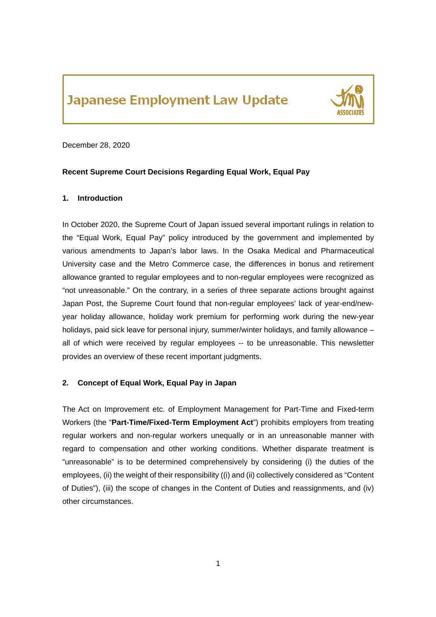# **Japanese Employment Law Update**



December 28, 2020

# **Recent Supreme Court Decisions Regarding Equal Work, Equal Pay**

# **1. Introduction**

In October 2020, the Supreme Court of Japan issued several important rulings in relation to the "Equal Work, Equal Pay" policy introduced by the government and implemented by various amendments to Japan's labor laws. In the Osaka Medical and Pharmaceutical University case and the Metro Commerce case, the differences in bonus and retirement allowance granted to regular employees and to non-regular employees were recognized as "not unreasonable." On the contrary, in a series of three separate actions brought against Japan Post, the Supreme Court found that non-regular employees' lack of year-end/newyear holiday allowance, holiday work premium for performing work during the new-year holidays, paid sick leave for personal injury, summer/winter holidays, and family allowance – all of which were received by regular employees -- to be unreasonable. This newsletter provides an overview of these recent important judgments.

# **2. Concept of Equal Work, Equal Pay in Japan**

The Act on Improvement etc. of Employment Management for Part-Time and Fixed-term Workers (the "**Part-Time/Fixed-Term Employment Act**") prohibits employers from treating regular workers and non-regular workers unequally or in an unreasonable manner with regard to compensation and other working conditions. Whether disparate treatment is "unreasonable" is to be determined comprehensively by considering (i) the duties of the employees, (ii) the weight of their responsibility ((i) and (ii) collectively considered as "Content of Duties"), (iii) the scope of changes in the Content of Duties and reassignments, and (iv) other circumstances.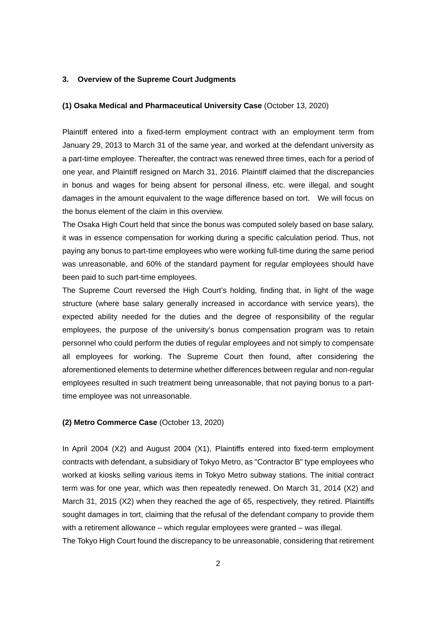### **3. Overview of the Supreme Court Judgments**

#### **(1) Osaka Medical and Pharmaceutical University Case** (October 13, 2020)

Plaintiff entered into a fixed-term employment contract with an employment term from January 29, 2013 to March 31 of the same year, and worked at the defendant university as a part-time employee. Thereafter, the contract was renewed three times, each for a period of one year, and Plaintiff resigned on March 31, 2016. Plaintiff claimed that the discrepancies in bonus and wages for being absent for personal illness, etc. were illegal, and sought damages in the amount equivalent to the wage difference based on tort. We will focus on the bonus element of the claim in this overview.

The Osaka High Court held that since the bonus was computed solely based on base salary, it was in essence compensation for working during a specific calculation period. Thus, not paying any bonus to part-time employees who were working full-time during the same period was unreasonable, and 60% of the standard payment for regular employees should have been paid to such part-time employees.

The Supreme Court reversed the High Court's holding, finding that, in light of the wage structure (where base salary generally increased in accordance with service years), the expected ability needed for the duties and the degree of responsibility of the regular employees, the purpose of the university's bonus compensation program was to retain personnel who could perform the duties of regular employees and not simply to compensate all employees for working. The Supreme Court then found, after considering the aforementioned elements to determine whether differences between regular and non-regular employees resulted in such treatment being unreasonable, that not paying bonus to a parttime employee was not unreasonable.

# **(2) Metro Commerce Case** (October 13, 2020)

In April 2004 (X2) and August 2004 (X1), Plaintiffs entered into fixed-term employment contracts with defendant, a subsidiary of Tokyo Metro, as "Contractor B" type employees who worked at kiosks selling various items in Tokyo Metro subway stations. The initial contract term was for one year, which was then repeatedly renewed. On March 31, 2014 (X2) and March 31, 2015 (X2) when they reached the age of 65, respectively, they retired. Plaintiffs sought damages in tort, claiming that the refusal of the defendant company to provide them with a retirement allowance – which regular employees were granted – was illegal.

The Tokyo High Court found the discrepancy to be unreasonable, considering that retirement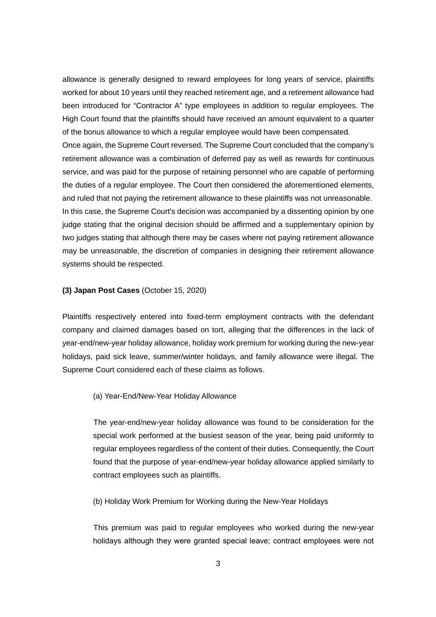allowance is generally designed to reward employees for long years of service, plaintiffs worked for about 10 years until they reached retirement age, and a retirement allowance had been introduced for "Contractor A" type employees in addition to regular employees. The High Court found that the plaintiffs should have received an amount equivalent to a quarter of the bonus allowance to which a regular employee would have been compensated. Once again, the Supreme Court reversed. The Supreme Court concluded that the company's retirement allowance was a combination of deferred pay as well as rewards for continuous service, and was paid for the purpose of retaining personnel who are capable of performing the duties of a regular employee. The Court then considered the aforementioned elements, and ruled that not paying the retirement allowance to these plaintiffs was not unreasonable. In this case, the Supreme Court's decision was accompanied by a dissenting opinion by one judge stating that the original decision should be affirmed and a supplementary opinion by two judges stating that although there may be cases where not paying retirement allowance may be unreasonable, the discretion of companies in designing their retirement allowance systems should be respected.

#### **(3) Japan Post Cases** (October 15, 2020)

Plaintiffs respectively entered into fixed-term employment contracts with the defendant company and claimed damages based on tort, alleging that the differences in the lack of year-end/new-year holiday allowance, holiday work premium for working during the new-year holidays, paid sick leave, summer/winter holidays, and family allowance were illegal. The Supreme Court considered each of these claims as follows.

# (a) Year-End/New-Year Holiday Allowance

The year-end/new-year holiday allowance was found to be consideration for the special work performed at the busiest season of the year, being paid uniformly to regular employees regardless of the content of their duties. Consequently, the Court found that the purpose of year-end/new-year holiday allowance applied similarly to contract employees such as plaintiffs.

(b) Holiday Work Premium for Working during the New-Year Holidays

This premium was paid to regular employees who worked during the new-year holidays although they were granted special leave; contract employees were not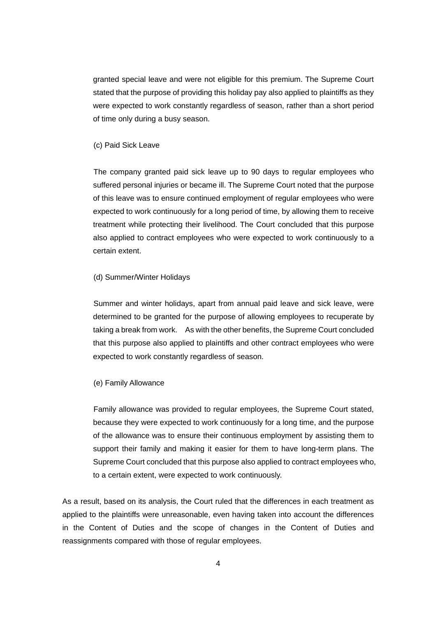granted special leave and were not eligible for this premium. The Supreme Court stated that the purpose of providing this holiday pay also applied to plaintiffs as they were expected to work constantly regardless of season, rather than a short period of time only during a busy season.

#### (c) Paid Sick Leave

The company granted paid sick leave up to 90 days to regular employees who suffered personal injuries or became ill. The Supreme Court noted that the purpose of this leave was to ensure continued employment of regular employees who were expected to work continuously for a long period of time, by allowing them to receive treatment while protecting their livelihood. The Court concluded that this purpose also applied to contract employees who were expected to work continuously to a certain extent.

#### (d) Summer/Winter Holidays

Summer and winter holidays, apart from annual paid leave and sick leave, were determined to be granted for the purpose of allowing employees to recuperate by taking a break from work. As with the other benefits, the Supreme Court concluded that this purpose also applied to plaintiffs and other contract employees who were expected to work constantly regardless of season.

#### (e) Family Allowance

Family allowance was provided to regular employees, the Supreme Court stated, because they were expected to work continuously for a long time, and the purpose of the allowance was to ensure their continuous employment by assisting them to support their family and making it easier for them to have long-term plans. The Supreme Court concluded that this purpose also applied to contract employees who, to a certain extent, were expected to work continuously.

As a result, based on its analysis, the Court ruled that the differences in each treatment as applied to the plaintiffs were unreasonable, even having taken into account the differences in the Content of Duties and the scope of changes in the Content of Duties and reassignments compared with those of regular employees.